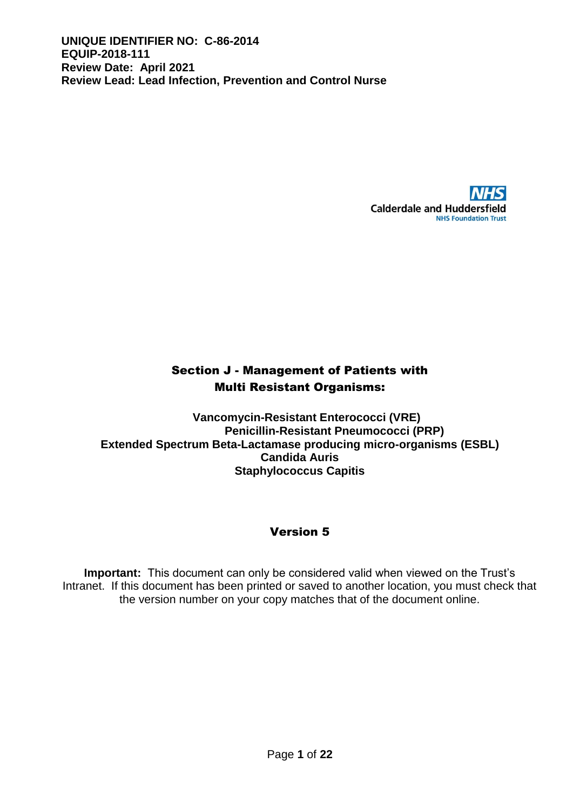

# Section J - Management of Patients with Multi Resistant Organisms:

**Vancomycin-Resistant Enterococci (VRE) Penicillin-Resistant Pneumococci (PRP) Extended Spectrum Beta-Lactamase producing micro-organisms (ESBL) Candida Auris Staphylococcus Capitis**

# Version 5

**Important:** This document can only be considered valid when viewed on the Trust's Intranet. If this document has been printed or saved to another location, you must check that the version number on your copy matches that of the document online.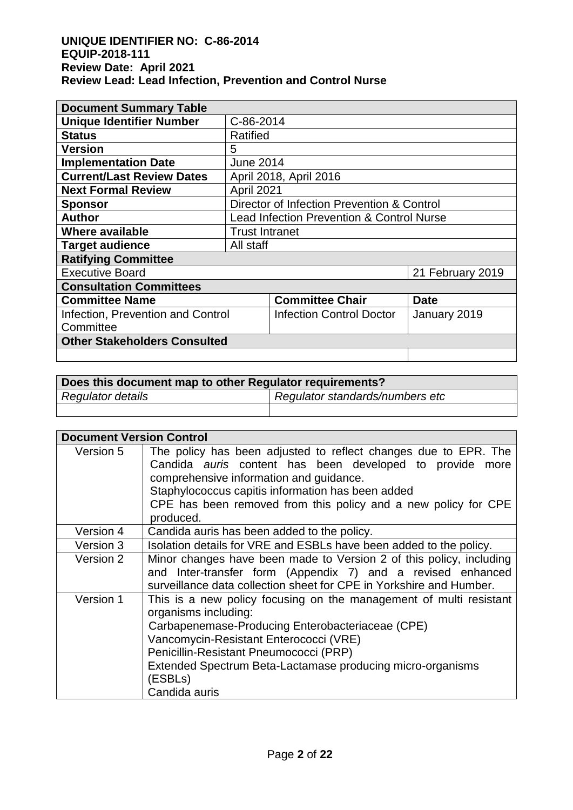| <b>Document Summary Table</b>       |                                                      |                                 |                  |
|-------------------------------------|------------------------------------------------------|---------------------------------|------------------|
| <b>Unique Identifier Number</b>     | C-86-2014                                            |                                 |                  |
| <b>Status</b>                       | Ratified                                             |                                 |                  |
| <b>Version</b>                      | 5                                                    |                                 |                  |
| <b>Implementation Date</b>          | <b>June 2014</b>                                     |                                 |                  |
| <b>Current/Last Review Dates</b>    | April 2018, April 2016                               |                                 |                  |
| <b>Next Formal Review</b>           | April 2021                                           |                                 |                  |
| <b>Sponsor</b>                      | Director of Infection Prevention & Control           |                                 |                  |
| <b>Author</b>                       | <b>Lead Infection Prevention &amp; Control Nurse</b> |                                 |                  |
| Where available                     | <b>Trust Intranet</b>                                |                                 |                  |
| <b>Target audience</b>              | All staff                                            |                                 |                  |
| <b>Ratifying Committee</b>          |                                                      |                                 |                  |
| <b>Executive Board</b>              |                                                      |                                 | 21 February 2019 |
| <b>Consultation Committees</b>      |                                                      |                                 |                  |
| <b>Committee Name</b>               |                                                      | <b>Committee Chair</b>          | <b>Date</b>      |
| Infection, Prevention and Control   |                                                      | <b>Infection Control Doctor</b> | January 2019     |
| Committee                           |                                                      |                                 |                  |
| <b>Other Stakeholders Consulted</b> |                                                      |                                 |                  |
|                                     |                                                      |                                 |                  |

| Does this document map to other Regulator requirements? |                                 |  |  |
|---------------------------------------------------------|---------------------------------|--|--|
| Regulator details                                       | Regulator standards/numbers etc |  |  |
|                                                         |                                 |  |  |

| <b>Document Version Control</b> |                                                                                                                             |  |  |  |
|---------------------------------|-----------------------------------------------------------------------------------------------------------------------------|--|--|--|
| Version 5                       | The policy has been adjusted to reflect changes due to EPR. The<br>Candida auris content has been developed to provide more |  |  |  |
|                                 | comprehensive information and guidance.                                                                                     |  |  |  |
|                                 | Staphylococcus capitis information has been added                                                                           |  |  |  |
|                                 | CPE has been removed from this policy and a new policy for CPE                                                              |  |  |  |
|                                 | produced.                                                                                                                   |  |  |  |
| Version 4                       | Candida auris has been added to the policy.                                                                                 |  |  |  |
| Version 3                       | Isolation details for VRE and ESBLs have been added to the policy.                                                          |  |  |  |
| Version 2                       | Minor changes have been made to Version 2 of this policy, including                                                         |  |  |  |
|                                 | and Inter-transfer form (Appendix 7) and a revised enhanced                                                                 |  |  |  |
|                                 | surveillance data collection sheet for CPE in Yorkshire and Humber.                                                         |  |  |  |
| Version 1                       | This is a new policy focusing on the management of multi resistant                                                          |  |  |  |
|                                 | organisms including:                                                                                                        |  |  |  |
|                                 | Carbapenemase-Producing Enterobacteriaceae (CPE)                                                                            |  |  |  |
|                                 | Vancomycin-Resistant Enterococci (VRE)                                                                                      |  |  |  |
|                                 | Penicillin-Resistant Pneumococci (PRP)                                                                                      |  |  |  |
|                                 | Extended Spectrum Beta-Lactamase producing micro-organisms                                                                  |  |  |  |
|                                 | (ESBLs)                                                                                                                     |  |  |  |
|                                 | Candida auris                                                                                                               |  |  |  |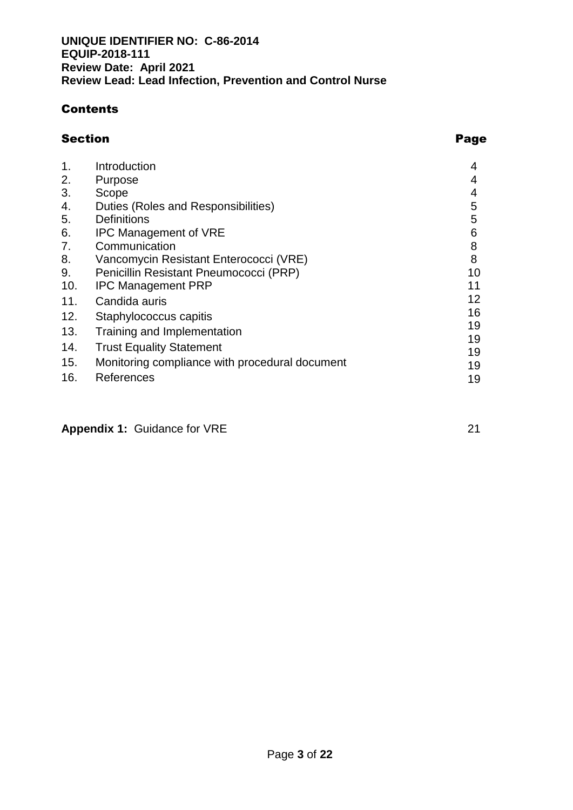# **Contents**

# Section **Page**

| $\mathbf{1}$ . | Introduction                                   | 4  |
|----------------|------------------------------------------------|----|
| 2.             | <b>Purpose</b>                                 | 4  |
| 3.             | Scope                                          | 4  |
| 4.             | Duties (Roles and Responsibilities)            | 5  |
| 5.             | <b>Definitions</b>                             | 5  |
| 6.             | <b>IPC Management of VRE</b>                   | 6  |
| 7.             | Communication                                  | 8  |
| 8.             | Vancomycin Resistant Enterococci (VRE)         | 8  |
| 9.             | Penicillin Resistant Pneumococci (PRP)         | 10 |
| 10.            | <b>IPC Management PRP</b>                      | 11 |
| 11.            | Candida auris                                  | 12 |
| 12.            | Staphylococcus capitis                         | 16 |
| 13.            | Training and Implementation                    | 19 |
| 14.            | <b>Trust Equality Statement</b>                | 19 |
| 15.            | Monitoring compliance with procedural document | 19 |
|                |                                                | 19 |
| 16.            | References                                     | 19 |

**Appendix 1: Guidance for VRE** 21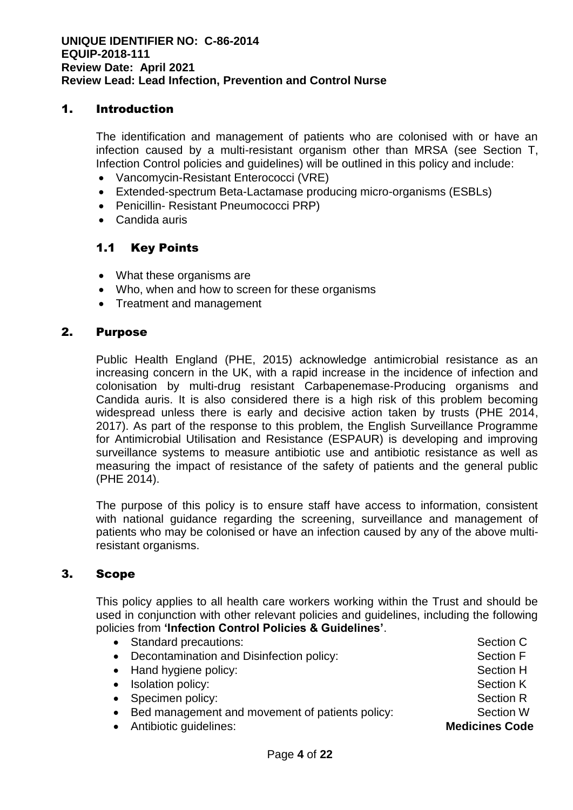# 1. Introduction

The identification and management of patients who are colonised with or have an infection caused by a multi-resistant organism other than MRSA (see Section T, Infection Control policies and guidelines) will be outlined in this policy and include:

- Vancomycin-Resistant Enterococci (VRE)
- Extended-spectrum Beta-Lactamase producing micro-organisms (ESBLs)
- Penicillin- Resistant Pneumococci PRP)
- Candida auris

# 1.1 Key Points

- What these organisms are
- Who, when and how to screen for these organisms
- Treatment and management

# 2. Purpose

Public Health England (PHE, 2015) acknowledge antimicrobial resistance as an increasing concern in the UK, with a rapid increase in the incidence of infection and colonisation by multi-drug resistant Carbapenemase-Producing organisms and Candida auris. It is also considered there is a high risk of this problem becoming widespread unless there is early and decisive action taken by trusts (PHE 2014, 2017). As part of the response to this problem, the English Surveillance Programme for Antimicrobial Utilisation and Resistance (ESPAUR) is developing and improving surveillance systems to measure antibiotic use and antibiotic resistance as well as measuring the impact of resistance of the safety of patients and the general public (PHE 2014).

The purpose of this policy is to ensure staff have access to information, consistent with national guidance regarding the screening, surveillance and management of patients who may be colonised or have an infection caused by any of the above multiresistant organisms.

# 3. Scope

This policy applies to all health care workers working within the Trust and should be used in conjunction with other relevant policies and guidelines, including the following policies from **'Infection Control Policies & Guidelines'**.

• Standard precautions: Section C • Decontamination and Disinfection policy: Section F • Hand hygiene policy: Section H • Isolation policy: Section K • Specimen policy: Section R • Bed management and movement of patients policy: Section W • Antibiotic guidelines: **Medicines Code**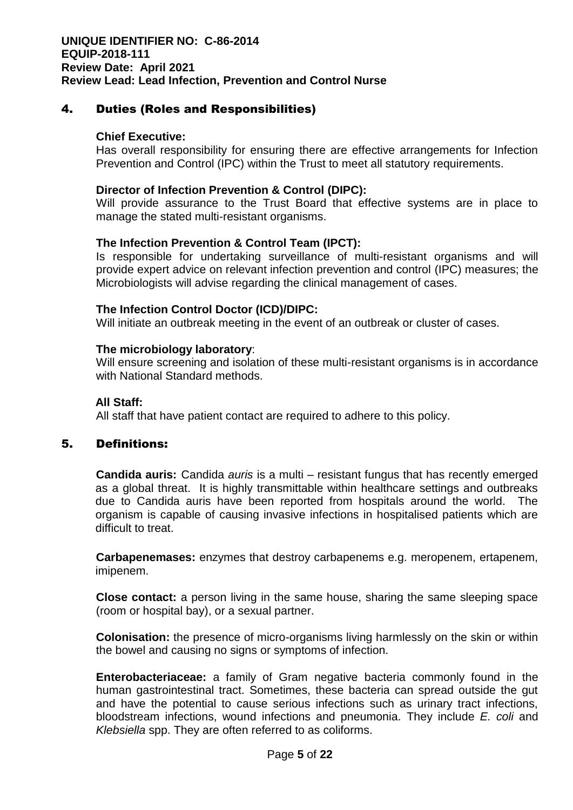# 4. Duties (Roles and Responsibilities)

#### **Chief Executive:**

Has overall responsibility for ensuring there are effective arrangements for Infection Prevention and Control (IPC) within the Trust to meet all statutory requirements.

#### **Director of Infection Prevention & Control (DIPC):**

Will provide assurance to the Trust Board that effective systems are in place to manage the stated multi-resistant organisms.

#### **The Infection Prevention & Control Team (IPCT):**

Is responsible for undertaking surveillance of multi-resistant organisms and will provide expert advice on relevant infection prevention and control (IPC) measures; the Microbiologists will advise regarding the clinical management of cases.

#### **The Infection Control Doctor (ICD)/DIPC:**

Will initiate an outbreak meeting in the event of an outbreak or cluster of cases.

#### **The microbiology laboratory**:

Will ensure screening and isolation of these multi-resistant organisms is in accordance with National Standard methods.

#### **All Staff:**

All staff that have patient contact are required to adhere to this policy.

# 5. Definitions:

**Candida auris:** Candida *auris* is a multi – resistant fungus that has recently emerged as a global threat. It is highly transmittable within healthcare settings and outbreaks due to Candida auris have been reported from hospitals around the world. The organism is capable of causing invasive infections in hospitalised patients which are difficult to treat.

**Carbapenemases:** enzymes that destroy carbapenems e.g. meropenem, ertapenem, imipenem.

**Close contact:** a person living in the same house, sharing the same sleeping space (room or hospital bay), or a sexual partner.

**Colonisation:** the presence of micro-organisms living harmlessly on the skin or within the bowel and causing no signs or symptoms of infection.

**Enterobacteriaceae:** a family of Gram negative bacteria commonly found in the human gastrointestinal tract. Sometimes, these bacteria can spread outside the gut and have the potential to cause serious infections such as urinary tract infections, bloodstream infections, wound infections and pneumonia. They include *E. coli* and *Klebsiella* spp. They are often referred to as coliforms.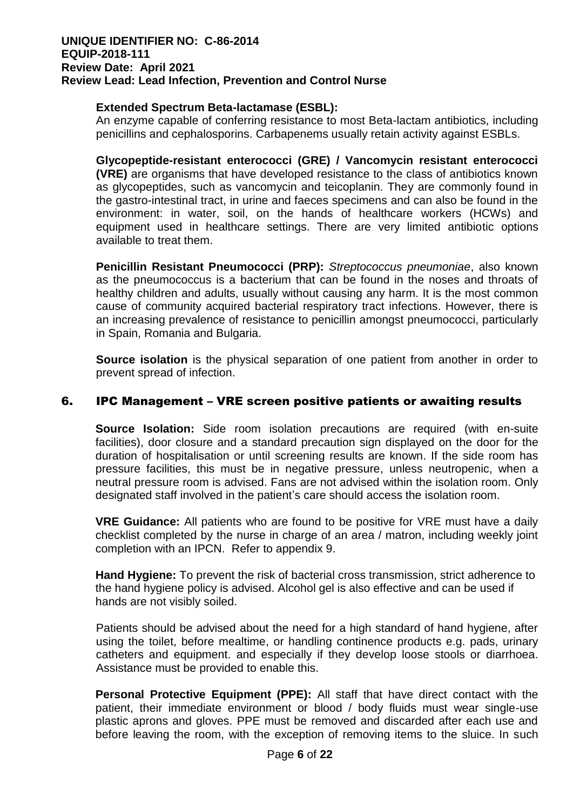# **Extended Spectrum Beta-lactamase (ESBL):**

An enzyme capable of conferring resistance to most Beta-lactam antibiotics, including penicillins and cephalosporins. Carbapenems usually retain activity against ESBLs.

**Glycopeptide-resistant enterococci (GRE) / Vancomycin resistant enterococci (VRE)** are organisms that have developed resistance to the class of antibiotics known as glycopeptides, such as vancomycin and teicoplanin. They are commonly found in the gastro-intestinal tract, in urine and faeces specimens and can also be found in the environment: in water, soil, on the hands of healthcare workers (HCWs) and equipment used in healthcare settings. There are very limited antibiotic options available to treat them.

**Penicillin Resistant Pneumococci (PRP):** *Streptococcus pneumoniae*, also known as the pneumococcus is a bacterium that can be found in the noses and throats of healthy children and adults, usually without causing any harm. It is the most common cause of community acquired bacterial respiratory tract infections. However, there is an increasing prevalence of resistance to penicillin amongst pneumococci, particularly in Spain, Romania and Bulgaria.

**Source isolation** is the physical separation of one patient from another in order to prevent spread of infection.

# 6. IPC Management – VRE screen positive patients or awaiting results

**Source Isolation:** Side room isolation precautions are required (with en-suite facilities), door closure and a standard precaution sign displayed on the door for the duration of hospitalisation or until screening results are known. If the side room has pressure facilities, this must be in negative pressure, unless neutropenic, when a neutral pressure room is advised. Fans are not advised within the isolation room. Only designated staff involved in the patient's care should access the isolation room.

**VRE Guidance:** All patients who are found to be positive for VRE must have a daily checklist completed by the nurse in charge of an area / matron, including weekly joint completion with an IPCN. Refer to appendix 9.

**Hand Hygiene:** To prevent the risk of bacterial cross transmission, strict adherence to the hand hygiene policy is advised. Alcohol gel is also effective and can be used if hands are not visibly soiled.

Patients should be advised about the need for a high standard of hand hygiene, after using the toilet, before mealtime, or handling continence products e.g. pads, urinary catheters and equipment. and especially if they develop loose stools or diarrhoea. Assistance must be provided to enable this.

**Personal Protective Equipment (PPE):** All staff that have direct contact with the patient, their immediate environment or blood / body fluids must wear single-use plastic aprons and gloves. PPE must be removed and discarded after each use and before leaving the room, with the exception of removing items to the sluice. In such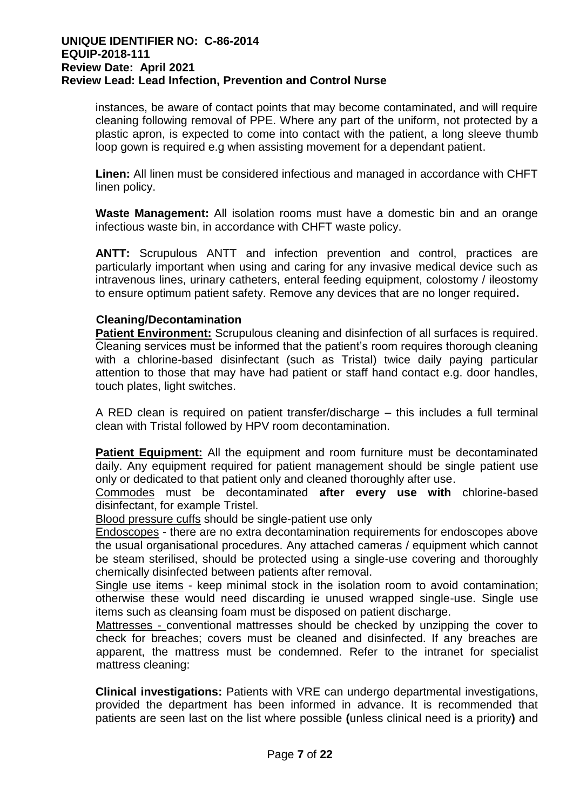instances, be aware of contact points that may become contaminated, and will require cleaning following removal of PPE. Where any part of the uniform, not protected by a plastic apron, is expected to come into contact with the patient, a long sleeve thumb loop gown is required e.g when assisting movement for a dependant patient.

**Linen:** All linen must be considered infectious and managed in accordance with CHFT linen policy.

**Waste Management:** All isolation rooms must have a domestic bin and an orange infectious waste bin, in accordance with CHFT waste policy.

**ANTT:** Scrupulous ANTT and infection prevention and control, practices are particularly important when using and caring for any invasive medical device such as intravenous lines, urinary catheters, enteral feeding equipment, colostomy / ileostomy to ensure optimum patient safety. Remove any devices that are no longer required**.**

# **Cleaning/Decontamination**

**Patient Environment:** Scrupulous cleaning and disinfection of all surfaces is required. Cleaning services must be informed that the patient's room requires thorough cleaning with a chlorine-based disinfectant (such as Tristal) twice daily paying particular attention to those that may have had patient or staff hand contact e.g. door handles, touch plates, light switches.

A RED clean is required on patient transfer/discharge – this includes a full terminal clean with Tristal followed by HPV room decontamination.

**Patient Equipment:** All the equipment and room furniture must be decontaminated daily. Any equipment required for patient management should be single patient use only or dedicated to that patient only and cleaned thoroughly after use.

Commodes must be decontaminated **after every use with** chlorine-based disinfectant, for example Tristel.

Blood pressure cuffs should be single-patient use only

Endoscopes - there are no extra decontamination requirements for endoscopes above the usual organisational procedures. Any attached cameras / equipment which cannot be steam sterilised, should be protected using a single-use covering and thoroughly chemically disinfected between patients after removal.

Single use items - keep minimal stock in the isolation room to avoid contamination; otherwise these would need discarding ie unused wrapped single-use. Single use items such as cleansing foam must be disposed on patient discharge.

Mattresses - conventional mattresses should be checked by unzipping the cover to check for breaches; covers must be cleaned and disinfected. If any breaches are apparent, the mattress must be condemned. Refer to the intranet for specialist mattress cleaning:

**Clinical investigations:** Patients with VRE can undergo departmental investigations, provided the department has been informed in advance. It is recommended that patients are seen last on the list where possible **(**unless clinical need is a priority**)** and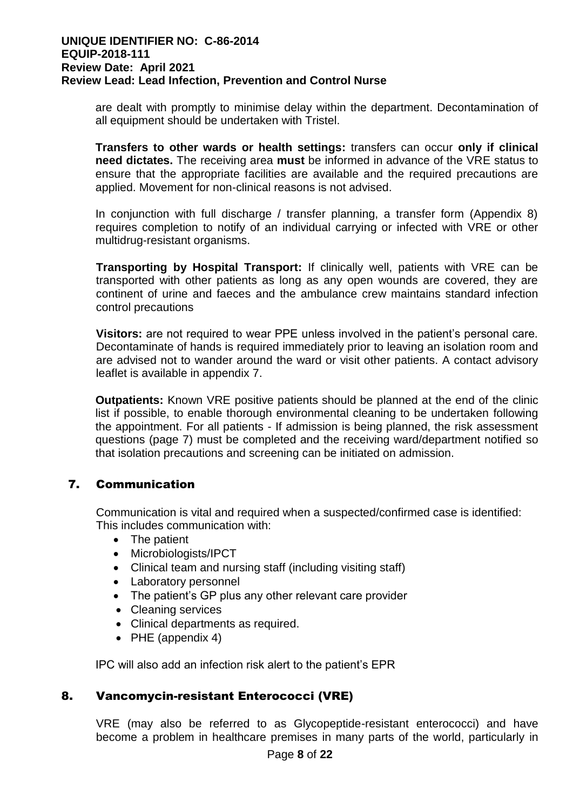are dealt with promptly to minimise delay within the department. Decontamination of all equipment should be undertaken with Tristel.

**Transfers to other wards or health settings:** transfers can occur **only if clinical need dictates.** The receiving area **must** be informed in advance of the VRE status to ensure that the appropriate facilities are available and the required precautions are applied. Movement for non-clinical reasons is not advised.

In conjunction with full discharge / transfer planning, a transfer form (Appendix 8) requires completion to notify of an individual carrying or infected with VRE or other multidrug-resistant organisms.

**Transporting by Hospital Transport:** If clinically well, patients with VRE can be transported with other patients as long as any open wounds are covered, they are continent of urine and faeces and the ambulance crew maintains standard infection control precautions

**Visitors:** are not required to wear PPE unless involved in the patient's personal care. Decontaminate of hands is required immediately prior to leaving an isolation room and are advised not to wander around the ward or visit other patients. A contact advisory leaflet is available in appendix 7.

**Outpatients:** Known VRE positive patients should be planned at the end of the clinic list if possible, to enable thorough environmental cleaning to be undertaken following the appointment. For all patients - If admission is being planned, the risk assessment questions (page 7) must be completed and the receiving ward/department notified so that isolation precautions and screening can be initiated on admission.

# 7. Communication

Communication is vital and required when a suspected/confirmed case is identified: This includes communication with:

- The patient
- Microbiologists/IPCT
- Clinical team and nursing staff (including visiting staff)
- Laboratory personnel
- The patient's GP plus any other relevant care provider
- Cleaning services
- Clinical departments as required.
- PHE (appendix 4)

IPC will also add an infection risk alert to the patient's EPR

# 8. Vancomycin-resistant Enterococci (VRE)

VRE (may also be referred to as Glycopeptide-resistant enterococci) and have become a problem in healthcare premises in many parts of the world, particularly in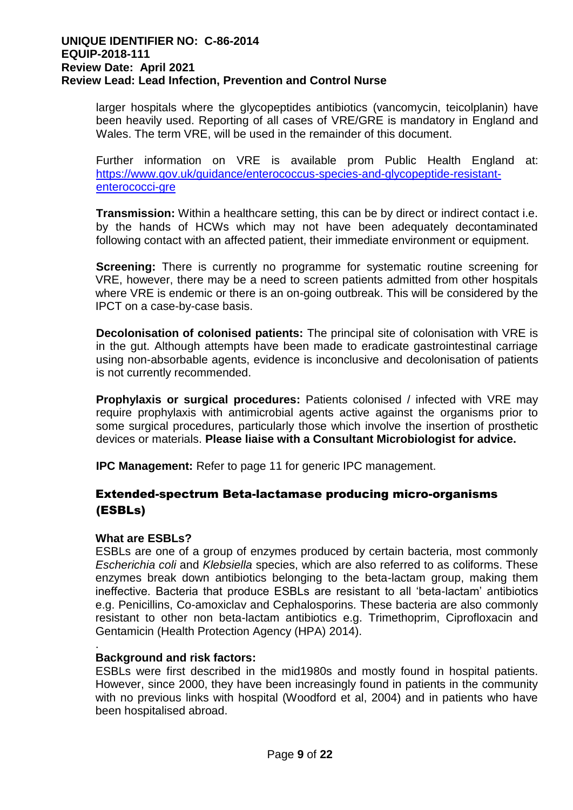larger hospitals where the glycopeptides antibiotics (vancomycin, teicolplanin) have been heavily used. Reporting of all cases of VRE/GRE is mandatory in England and Wales. The term VRE, will be used in the remainder of this document.

Further information on VRE is available prom Public Health England at: [https://www.gov.uk/guidance/enterococcus-species-and-glycopeptide-resistant](https://www.gov.uk/guidance/enterococcus-species-and-glycopeptide-resistant-enterococci-gre)[enterococci-gre](https://www.gov.uk/guidance/enterococcus-species-and-glycopeptide-resistant-enterococci-gre)

**Transmission:** Within a healthcare setting, this can be by direct or indirect contact i.e. by the hands of HCWs which may not have been adequately decontaminated following contact with an affected patient, their immediate environment or equipment.

**Screening:** There is currently no programme for systematic routine screening for VRE, however, there may be a need to screen patients admitted from other hospitals where VRE is endemic or there is an on-going outbreak. This will be considered by the IPCT on a case-by-case basis.

**Decolonisation of colonised patients:** The principal site of colonisation with VRE is in the gut. Although attempts have been made to eradicate gastrointestinal carriage using non-absorbable agents, evidence is inconclusive and decolonisation of patients is not currently recommended.

**Prophylaxis or surgical procedures:** Patients colonised / infected with VRE may require prophylaxis with antimicrobial agents active against the organisms prior to some surgical procedures, particularly those which involve the insertion of prosthetic devices or materials. **Please liaise with a Consultant Microbiologist for advice.**

**IPC Management:** Refer to page 11 for generic IPC management.

# Extended-spectrum Beta-lactamase producing micro-organisms (ESBLs)

# **What are ESBLs?**

ESBLs are one of a group of enzymes produced by certain bacteria, most commonly *Escherichia coli* and *Klebsiella* species, which are also referred to as coliforms. These enzymes break down antibiotics belonging to the beta-lactam group, making them ineffective. Bacteria that produce ESBLs are resistant to all 'beta-lactam' antibiotics e.g. Penicillins, Co-amoxiclav and Cephalosporins. These bacteria are also commonly resistant to other non beta-lactam antibiotics e.g. Trimethoprim, Ciprofloxacin and Gentamicin (Health Protection Agency (HPA) 2014).

#### . **Background and risk factors:**

ESBLs were first described in the mid1980s and mostly found in hospital patients. However, since 2000, they have been increasingly found in patients in the community with no previous links with hospital (Woodford et al, 2004) and in patients who have been hospitalised abroad.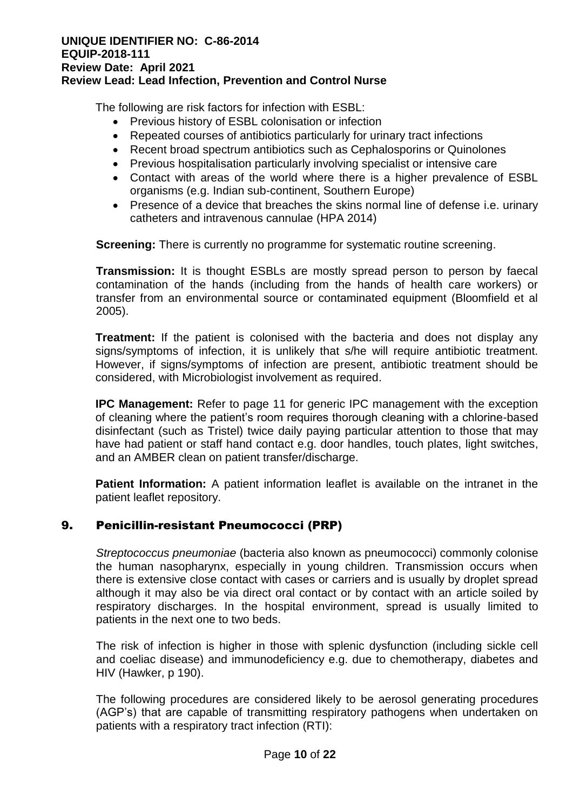The following are risk factors for infection with ESBL:

- Previous history of ESBL colonisation or infection
- Repeated courses of antibiotics particularly for urinary tract infections
- Recent broad spectrum antibiotics such as Cephalosporins or Quinolones
- Previous hospitalisation particularly involving specialist or intensive care
- Contact with areas of the world where there is a higher prevalence of ESBL organisms (e.g. Indian sub-continent, Southern Europe)
- Presence of a device that breaches the skins normal line of defense i.e. urinary catheters and intravenous cannulae (HPA 2014)

**Screening:** There is currently no programme for systematic routine screening.

**Transmission:** It is thought ESBLs are mostly spread person to person by faecal contamination of the hands (including from the hands of health care workers) or transfer from an environmental source or contaminated equipment (Bloomfield et al 2005).

**Treatment:** If the patient is colonised with the bacteria and does not display any signs/symptoms of infection, it is unlikely that s/he will require antibiotic treatment. However, if signs/symptoms of infection are present, antibiotic treatment should be considered, with Microbiologist involvement as required.

**IPC Management:** Refer to page 11 for generic IPC management with the exception of cleaning where the patient's room requires thorough cleaning with a chlorine-based disinfectant (such as Tristel) twice daily paying particular attention to those that may have had patient or staff hand contact e.g. door handles, touch plates, light switches, and an AMBER clean on patient transfer/discharge.

**Patient Information:** A patient information leaflet is available on the intranet in the patient leaflet repository.

# 9. Penicillin-resistant Pneumococci (PRP)

*Streptococcus pneumoniae* (bacteria also known as pneumococci) commonly colonise the human nasopharynx, especially in young children. Transmission occurs when there is extensive close contact with cases or carriers and is usually by droplet spread although it may also be via direct oral contact or by contact with an article soiled by respiratory discharges. In the hospital environment, spread is usually limited to patients in the next one to two beds.

The risk of infection is higher in those with splenic dysfunction (including sickle cell and coeliac disease) and immunodeficiency e.g. due to chemotherapy, diabetes and HIV (Hawker, p 190).

The following procedures are considered likely to be aerosol generating procedures (AGP's) that are capable of transmitting respiratory pathogens when undertaken on patients with a respiratory tract infection (RTI):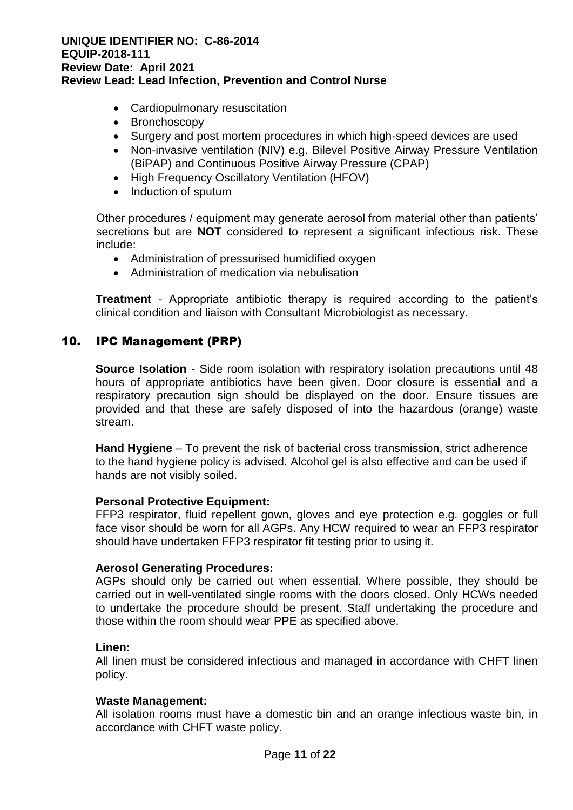- Cardiopulmonary resuscitation
- Bronchoscopy
- Surgery and post mortem procedures in which high-speed devices are used
- Non-invasive ventilation (NIV) e.g. Bilevel Positive Airway Pressure Ventilation (BiPAP) and Continuous Positive Airway Pressure (CPAP)
- High Frequency Oscillatory Ventilation (HFOV)
- Induction of sputum

Other procedures / equipment may generate aerosol from material other than patients' secretions but are **NOT** considered to represent a significant infectious risk. These include:

- Administration of pressurised humidified oxygen
- Administration of medication via nebulisation

**Treatment** - Appropriate antibiotic therapy is required according to the patient's clinical condition and liaison with Consultant Microbiologist as necessary.

# 10. IPC Management (PRP)

**Source Isolation** - Side room isolation with respiratory isolation precautions until 48 hours of appropriate antibiotics have been given. Door closure is essential and a respiratory precaution sign should be displayed on the door. Ensure tissues are provided and that these are safely disposed of into the hazardous (orange) waste stream.

**Hand Hygiene** – To prevent the risk of bacterial cross transmission, strict adherence to the hand hygiene policy is advised. Alcohol gel is also effective and can be used if hands are not visibly soiled.

# **Personal Protective Equipment:**

FFP3 respirator, fluid repellent gown, gloves and eye protection e.g. goggles or full face visor should be worn for all AGPs. Any HCW required to wear an FFP3 respirator should have undertaken FFP3 respirator fit testing prior to using it.

#### **Aerosol Generating Procedures:**

AGPs should only be carried out when essential. Where possible, they should be carried out in well-ventilated single rooms with the doors closed. Only HCWs needed to undertake the procedure should be present. Staff undertaking the procedure and those within the room should wear PPE as specified above.

#### **Linen:**

All linen must be considered infectious and managed in accordance with CHFT linen policy.

# **Waste Management:**

All isolation rooms must have a domestic bin and an orange infectious waste bin, in accordance with CHFT waste policy.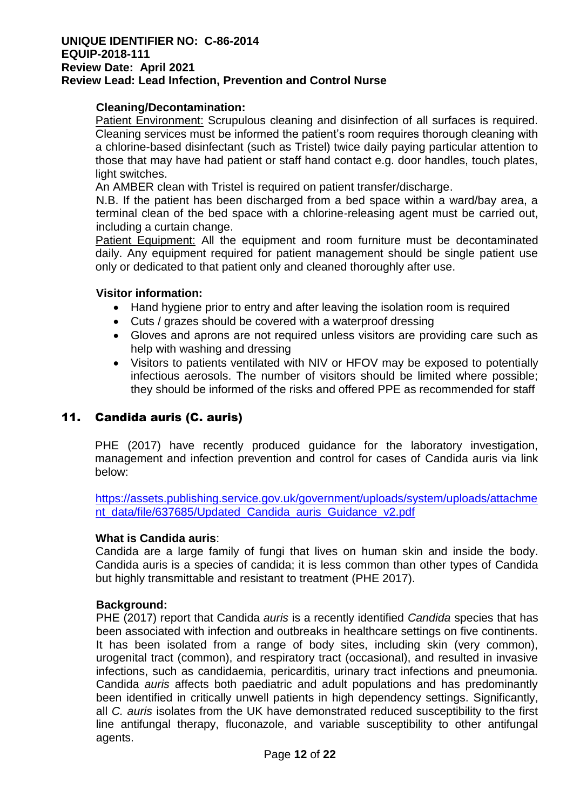# **Cleaning/Decontamination:**

Patient Environment: Scrupulous cleaning and disinfection of all surfaces is required. Cleaning services must be informed the patient's room requires thorough cleaning with a chlorine-based disinfectant (such as Tristel) twice daily paying particular attention to those that may have had patient or staff hand contact e.g. door handles, touch plates, light switches.

An AMBER clean with Tristel is required on patient transfer/discharge.

N.B. If the patient has been discharged from a bed space within a ward/bay area, a terminal clean of the bed space with a chlorine-releasing agent must be carried out, including a curtain change.

Patient Equipment: All the equipment and room furniture must be decontaminated daily. Any equipment required for patient management should be single patient use only or dedicated to that patient only and cleaned thoroughly after use.

# **Visitor information:**

- Hand hygiene prior to entry and after leaving the isolation room is required
- Cuts / grazes should be covered with a waterproof dressing
- Gloves and aprons are not required unless visitors are providing care such as help with washing and dressing
- Visitors to patients ventilated with NIV or HFOV may be exposed to potentially infectious aerosols. The number of visitors should be limited where possible; they should be informed of the risks and offered PPE as recommended for staff

# 11. Candida auris (C. auris)

PHE (2017) have recently produced guidance for the laboratory investigation, management and infection prevention and control for cases of Candida auris via link below:

[https://assets.publishing.service.gov.uk/government/uploads/system/uploads/attachme](https://assets.publishing.service.gov.uk/government/uploads/system/uploads/attachment_data/file/637685/Updated_Candida_auris_Guidance_v2.pdf) [nt\\_data/file/637685/Updated\\_Candida\\_auris\\_Guidance\\_v2.pdf](https://assets.publishing.service.gov.uk/government/uploads/system/uploads/attachment_data/file/637685/Updated_Candida_auris_Guidance_v2.pdf)

#### **What is Candida auris**:

Candida are a large family of fungi that lives on human skin and inside the body. Candida auris is a species of candida; it is less common than other types of Candida but highly transmittable and resistant to treatment (PHE 2017).

#### **Background:**

PHE (2017) report that Candida *auris* is a recently identified *Candida* species that has been associated with infection and outbreaks in healthcare settings on five continents. It has been isolated from a range of body sites, including skin (very common), urogenital tract (common), and respiratory tract (occasional), and resulted in invasive infections, such as candidaemia, pericarditis, urinary tract infections and pneumonia. Candida *auris* affects both paediatric and adult populations and has predominantly been identified in critically unwell patients in high dependency settings. Significantly, all *C. auris* isolates from the UK have demonstrated reduced susceptibility to the first line antifungal therapy, fluconazole, and variable susceptibility to other antifungal agents.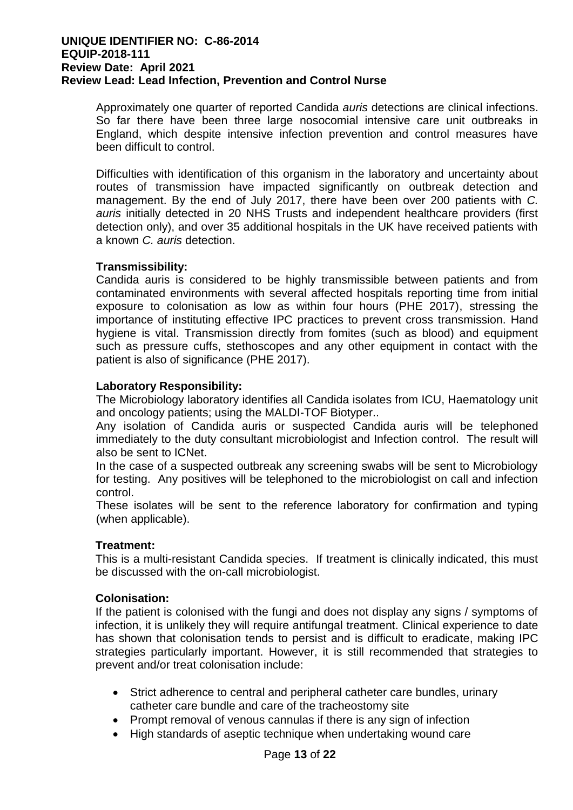Approximately one quarter of reported Candida *auris* detections are clinical infections. So far there have been three large nosocomial intensive care unit outbreaks in England, which despite intensive infection prevention and control measures have been difficult to control.

Difficulties with identification of this organism in the laboratory and uncertainty about routes of transmission have impacted significantly on outbreak detection and management. By the end of July 2017, there have been over 200 patients with *C. auris* initially detected in 20 NHS Trusts and independent healthcare providers (first detection only), and over 35 additional hospitals in the UK have received patients with a known *C. auris* detection.

# **Transmissibility:**

Candida auris is considered to be highly transmissible between patients and from contaminated environments with several affected hospitals reporting time from initial exposure to colonisation as low as within four hours (PHE 2017), stressing the importance of instituting effective IPC practices to prevent cross transmission. Hand hygiene is vital. Transmission directly from fomites (such as blood) and equipment such as pressure cuffs, stethoscopes and any other equipment in contact with the patient is also of significance (PHE 2017).

# **Laboratory Responsibility:**

The Microbiology laboratory identifies all Candida isolates from ICU, Haematology unit and oncology patients; using the MALDI-TOF Biotyper..

Any isolation of Candida auris or suspected Candida auris will be telephoned immediately to the duty consultant microbiologist and Infection control. The result will also be sent to ICNet.

In the case of a suspected outbreak any screening swabs will be sent to Microbiology for testing. Any positives will be telephoned to the microbiologist on call and infection control.

These isolates will be sent to the reference laboratory for confirmation and typing (when applicable).

# **Treatment:**

This is a multi-resistant Candida species. If treatment is clinically indicated, this must be discussed with the on-call microbiologist.

# **Colonisation:**

If the patient is colonised with the fungi and does not display any signs / symptoms of infection, it is unlikely they will require antifungal treatment. Clinical experience to date has shown that colonisation tends to persist and is difficult to eradicate, making IPC strategies particularly important. However, it is still recommended that strategies to prevent and/or treat colonisation include:

- Strict adherence to central and peripheral catheter care bundles, urinary catheter care bundle and care of the tracheostomy site
- Prompt removal of venous cannulas if there is any sign of infection
- High standards of aseptic technique when undertaking wound care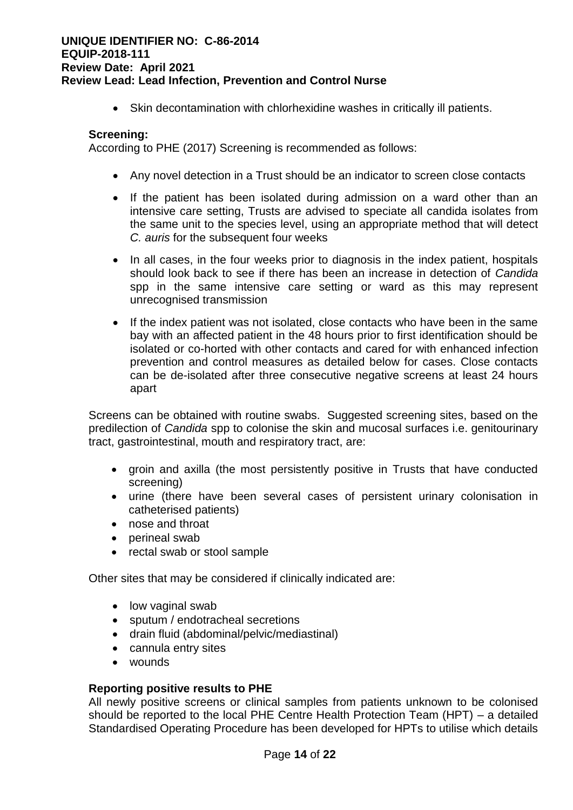• Skin decontamination with chlorhexidine washes in critically ill patients.

#### **Screening:**

According to PHE (2017) Screening is recommended as follows:

- Any novel detection in a Trust should be an indicator to screen close contacts
- If the patient has been isolated during admission on a ward other than an intensive care setting, Trusts are advised to speciate all candida isolates from the same unit to the species level, using an appropriate method that will detect *C. auris* for the subsequent four weeks
- In all cases, in the four weeks prior to diagnosis in the index patient, hospitals should look back to see if there has been an increase in detection of *Candida*  spp in the same intensive care setting or ward as this may represent unrecognised transmission
- If the index patient was not isolated, close contacts who have been in the same bay with an affected patient in the 48 hours prior to first identification should be isolated or co-horted with other contacts and cared for with enhanced infection prevention and control measures as detailed below for cases. Close contacts can be de-isolated after three consecutive negative screens at least 24 hours apart

Screens can be obtained with routine swabs. Suggested screening sites, based on the predilection of *Candida* spp to colonise the skin and mucosal surfaces i.e. genitourinary tract, gastrointestinal, mouth and respiratory tract, are:

- groin and axilla (the most persistently positive in Trusts that have conducted screening)
- urine (there have been several cases of persistent urinary colonisation in catheterised patients)
- nose and throat
- perineal swab
- rectal swab or stool sample

Other sites that may be considered if clinically indicated are:

- low vaginal swab
- sputum / endotracheal secretions
- drain fluid (abdominal/pelvic/mediastinal)
- cannula entry sites
- wounds

#### **Reporting positive results to PHE**

All newly positive screens or clinical samples from patients unknown to be colonised should be reported to the local PHE Centre Health Protection Team (HPT) – a detailed Standardised Operating Procedure has been developed for HPTs to utilise which details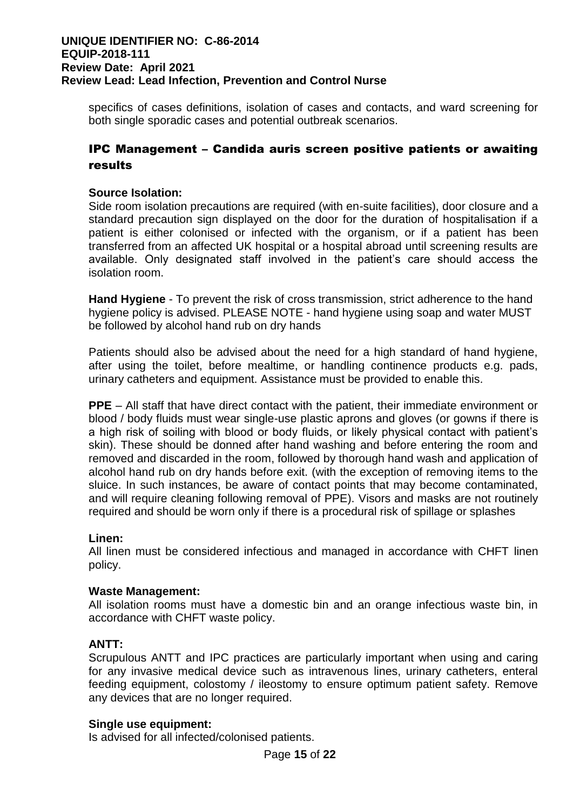specifics of cases definitions, isolation of cases and contacts, and ward screening for both single sporadic cases and potential outbreak scenarios.

# IPC Management – Candida auris screen positive patients or awaiting results

# **Source Isolation:**

Side room isolation precautions are required (with en-suite facilities), door closure and a standard precaution sign displayed on the door for the duration of hospitalisation if a patient is either colonised or infected with the organism, or if a patient has been transferred from an affected UK hospital or a hospital abroad until screening results are available. Only designated staff involved in the patient's care should access the isolation room.

**Hand Hygiene** - To prevent the risk of cross transmission, strict adherence to the hand hygiene policy is advised. PLEASE NOTE - hand hygiene using soap and water MUST be followed by alcohol hand rub on dry hands

Patients should also be advised about the need for a high standard of hand hygiene, after using the toilet, before mealtime, or handling continence products e.g. pads, urinary catheters and equipment. Assistance must be provided to enable this.

**PPE** – All staff that have direct contact with the patient, their immediate environment or blood / body fluids must wear single-use plastic aprons and gloves (or gowns if there is a high risk of soiling with blood or body fluids, or likely physical contact with patient's skin). These should be donned after hand washing and before entering the room and removed and discarded in the room, followed by thorough hand wash and application of alcohol hand rub on dry hands before exit. (with the exception of removing items to the sluice. In such instances, be aware of contact points that may become contaminated, and will require cleaning following removal of PPE). Visors and masks are not routinely required and should be worn only if there is a procedural risk of spillage or splashes

# **Linen:**

All linen must be considered infectious and managed in accordance with CHFT linen policy.

# **Waste Management:**

All isolation rooms must have a domestic bin and an orange infectious waste bin, in accordance with CHFT waste policy.

# **ANTT:**

Scrupulous ANTT and IPC practices are particularly important when using and caring for any invasive medical device such as intravenous lines, urinary catheters, enteral feeding equipment, colostomy / ileostomy to ensure optimum patient safety. Remove any devices that are no longer required.

# **Single use equipment:**

Is advised for all infected/colonised patients.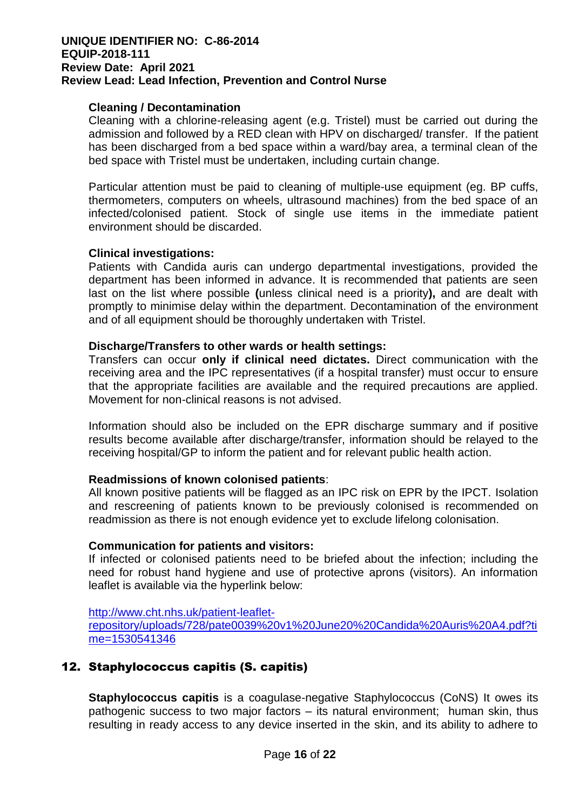# **Cleaning / Decontamination**

Cleaning with a chlorine-releasing agent (e.g. Tristel) must be carried out during the admission and followed by a RED clean with HPV on discharged/ transfer. If the patient has been discharged from a bed space within a ward/bay area, a terminal clean of the bed space with Tristel must be undertaken, including curtain change.

Particular attention must be paid to cleaning of multiple-use equipment (eg. BP cuffs, thermometers, computers on wheels, ultrasound machines) from the bed space of an infected/colonised patient. Stock of single use items in the immediate patient environment should be discarded.

#### **Clinical investigations:**

Patients with Candida auris can undergo departmental investigations, provided the department has been informed in advance. It is recommended that patients are seen last on the list where possible **(**unless clinical need is a priority**),** and are dealt with promptly to minimise delay within the department. Decontamination of the environment and of all equipment should be thoroughly undertaken with Tristel.

#### **Discharge/Transfers to other wards or health settings:**

Transfers can occur **only if clinical need dictates.** Direct communication with the receiving area and the IPC representatives (if a hospital transfer) must occur to ensure that the appropriate facilities are available and the required precautions are applied. Movement for non-clinical reasons is not advised.

Information should also be included on the EPR discharge summary and if positive results become available after discharge/transfer, information should be relayed to the receiving hospital/GP to inform the patient and for relevant public health action.

# **Readmissions of known colonised patients**:

All known positive patients will be flagged as an IPC risk on EPR by the IPCT. Isolation and rescreening of patients known to be previously colonised is recommended on readmission as there is not enough evidence yet to exclude lifelong colonisation.

# **Communication for patients and visitors:**

If infected or colonised patients need to be briefed about the infection; including the need for robust hand hygiene and use of protective aprons (visitors). An information leaflet is available via the hyperlink below:

[http://www.cht.nhs.uk/patient-leaflet](http://www.cht.nhs.uk/patient-leaflet-repository/uploads/728/pate0039%20v1%20June20%20Candida%20Auris%20A4.pdf?time=1530541346)[repository/uploads/728/pate0039%20v1%20June20%20Candida%20Auris%20A4.pdf?ti](http://www.cht.nhs.uk/patient-leaflet-repository/uploads/728/pate0039%20v1%20June20%20Candida%20Auris%20A4.pdf?time=1530541346) [me=1530541346](http://www.cht.nhs.uk/patient-leaflet-repository/uploads/728/pate0039%20v1%20June20%20Candida%20Auris%20A4.pdf?time=1530541346)

# 12. Staphylococcus capitis (S. capitis)

**Staphylococcus capitis** is a coagulase-negative Staphylococcus (CoNS) It owes its pathogenic success to two major factors – its natural environment; human skin, thus resulting in ready access to any device inserted in the skin, and its ability to adhere to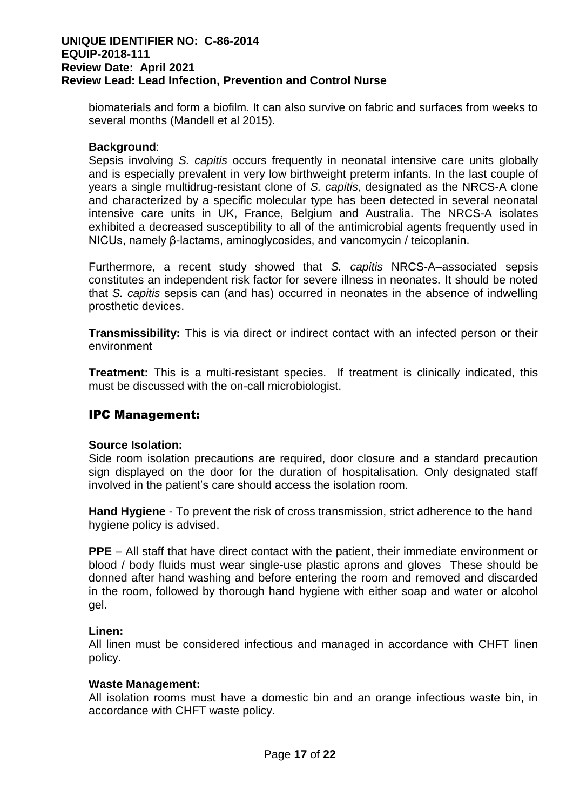biomaterials and form a biofilm. It can also survive on fabric and surfaces from weeks to several months (Mandell et al 2015).

# **Background**:

Sepsis involving *S. capitis* occurs frequently in neonatal intensive care units globally and is especially prevalent in very low birthweight preterm infants. In the last couple of years a single multidrug-resistant clone of *S. capitis*, designated as the NRCS-A clone and characterized by a specific molecular type has been detected in several neonatal intensive care units in UK, France, Belgium and Australia. The NRCS-A isolates exhibited a decreased susceptibility to all of the antimicrobial agents frequently used in NICUs, namely β-lactams, aminoglycosides, and vancomycin / teicoplanin.

Furthermore, a recent study showed that *S. capitis* NRCS-A–associated sepsis constitutes an independent risk factor for severe illness in neonates. It should be noted that *S. capitis* sepsis can (and has) occurred in neonates in the absence of indwelling prosthetic devices.

**Transmissibility:** This is via direct or indirect contact with an infected person or their environment

**Treatment:** This is a multi-resistant species. If treatment is clinically indicated, this must be discussed with the on-call microbiologist.

# IPC Management:

# **Source Isolation:**

Side room isolation precautions are required, door closure and a standard precaution sign displayed on the door for the duration of hospitalisation. Only designated staff involved in the patient's care should access the isolation room.

**Hand Hygiene** - To prevent the risk of cross transmission, strict adherence to the hand hygiene policy is advised.

**PPE** – All staff that have direct contact with the patient, their immediate environment or blood / body fluids must wear single-use plastic aprons and gloves These should be donned after hand washing and before entering the room and removed and discarded in the room, followed by thorough hand hygiene with either soap and water or alcohol gel.

# **Linen:**

All linen must be considered infectious and managed in accordance with CHFT linen policy.

#### **Waste Management:**

All isolation rooms must have a domestic bin and an orange infectious waste bin, in accordance with CHFT waste policy.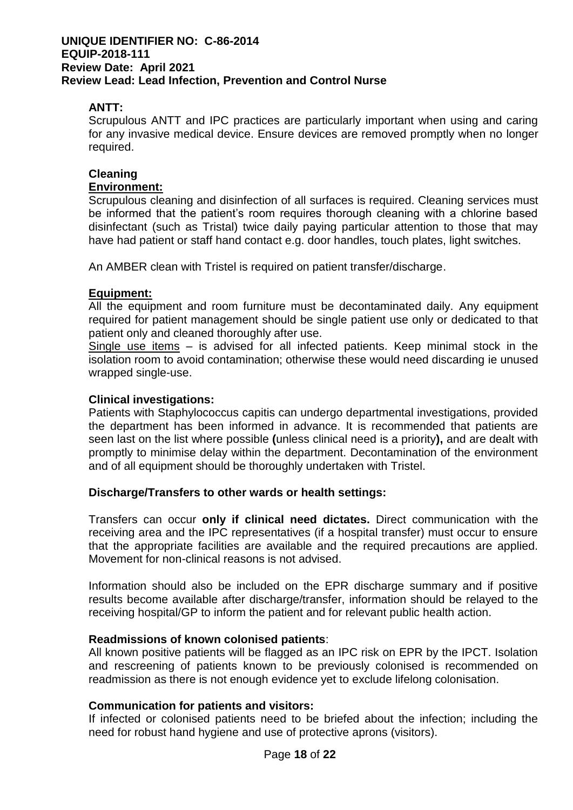# **ANTT:**

Scrupulous ANTT and IPC practices are particularly important when using and caring for any invasive medical device. Ensure devices are removed promptly when no longer required.

# **Cleaning**

# **Environment:**

Scrupulous cleaning and disinfection of all surfaces is required. Cleaning services must be informed that the patient's room requires thorough cleaning with a chlorine based disinfectant (such as Tristal) twice daily paying particular attention to those that may have had patient or staff hand contact e.g. door handles, touch plates, light switches.

An AMBER clean with Tristel is required on patient transfer/discharge.

# **Equipment:**

All the equipment and room furniture must be decontaminated daily. Any equipment required for patient management should be single patient use only or dedicated to that patient only and cleaned thoroughly after use.

Single use items – is advised for all infected patients. Keep minimal stock in the isolation room to avoid contamination; otherwise these would need discarding ie unused wrapped single-use.

### **Clinical investigations:**

Patients with Staphylococcus capitis can undergo departmental investigations, provided the department has been informed in advance. It is recommended that patients are seen last on the list where possible **(**unless clinical need is a priority**),** and are dealt with promptly to minimise delay within the department. Decontamination of the environment and of all equipment should be thoroughly undertaken with Tristel.

# **Discharge/Transfers to other wards or health settings:**

Transfers can occur **only if clinical need dictates.** Direct communication with the receiving area and the IPC representatives (if a hospital transfer) must occur to ensure that the appropriate facilities are available and the required precautions are applied. Movement for non-clinical reasons is not advised.

Information should also be included on the EPR discharge summary and if positive results become available after discharge/transfer, information should be relayed to the receiving hospital/GP to inform the patient and for relevant public health action.

#### **Readmissions of known colonised patients**:

All known positive patients will be flagged as an IPC risk on EPR by the IPCT. Isolation and rescreening of patients known to be previously colonised is recommended on readmission as there is not enough evidence yet to exclude lifelong colonisation.

# **Communication for patients and visitors:**

If infected or colonised patients need to be briefed about the infection; including the need for robust hand hygiene and use of protective aprons (visitors).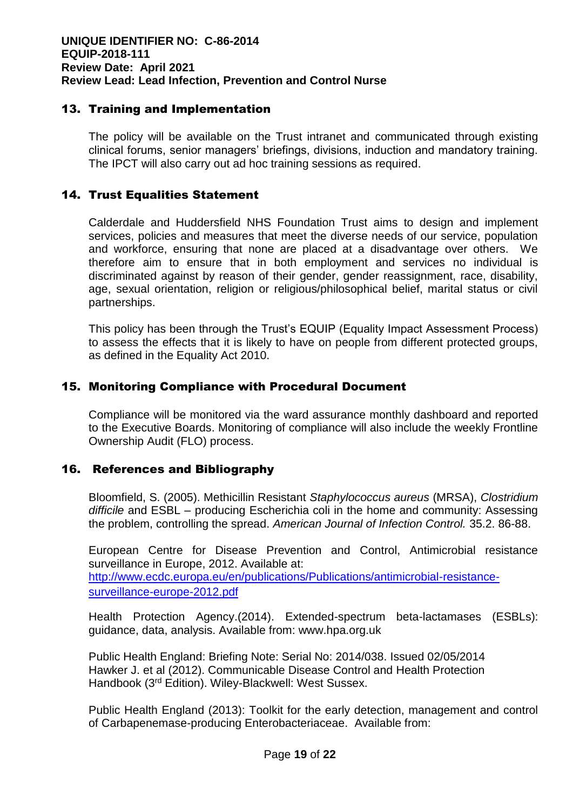# 13. Training and Implementation

The policy will be available on the Trust intranet and communicated through existing clinical forums, senior managers' briefings, divisions, induction and mandatory training. The IPCT will also carry out ad hoc training sessions as required.

# 14. Trust Equalities Statement

Calderdale and Huddersfield NHS Foundation Trust aims to design and implement services, policies and measures that meet the diverse needs of our service, population and workforce, ensuring that none are placed at a disadvantage over others. We therefore aim to ensure that in both employment and services no individual is discriminated against by reason of their gender, gender reassignment, race, disability, age, sexual orientation, religion or religious/philosophical belief, marital status or civil partnerships.

This policy has been through the Trust's EQUIP (Equality Impact Assessment Process) to assess the effects that it is likely to have on people from different protected groups, as defined in the Equality Act 2010.

# 15. Monitoring Compliance with Procedural Document

Compliance will be monitored via the ward assurance monthly dashboard and reported to the Executive Boards. Monitoring of compliance will also include the weekly Frontline Ownership Audit (FLO) process.

# 16. References and Bibliography

Bloomfield, S. (2005). Methicillin Resistant *Staphylococcus aureus* (MRSA), *Clostridium difficile* and ESBL – producing Escherichia coli in the home and community: Assessing the problem, controlling the spread. *American Journal of Infection Control.* 35.2. 86-88.

European Centre for Disease Prevention and Control, Antimicrobial resistance surveillance in Europe, 2012. Available at: [http://www.ecdc.europa.eu/en/publications/Publications/antimicrobial-resistance](http://www.ecdc.europa.eu/en/publications/Publications/antimicrobial-resistance-surveillance-europe-2012.pdf)[surveillance-europe-2012.pdf](http://www.ecdc.europa.eu/en/publications/Publications/antimicrobial-resistance-surveillance-europe-2012.pdf)

Health Protection Agency.(2014). Extended-spectrum beta-lactamases (ESBLs): guidance, data, analysis. Available from: www.hpa.org.uk

Public Health England: Briefing Note: Serial No: 2014/038. Issued 02/05/2014 Hawker J. et al (2012). Communicable Disease Control and Health Protection Handbook (3rd Edition). Wiley-Blackwell: West Sussex.

Public Health England (2013): Toolkit for the early detection, management and control of Carbapenemase-producing Enterobacteriaceae. Available from: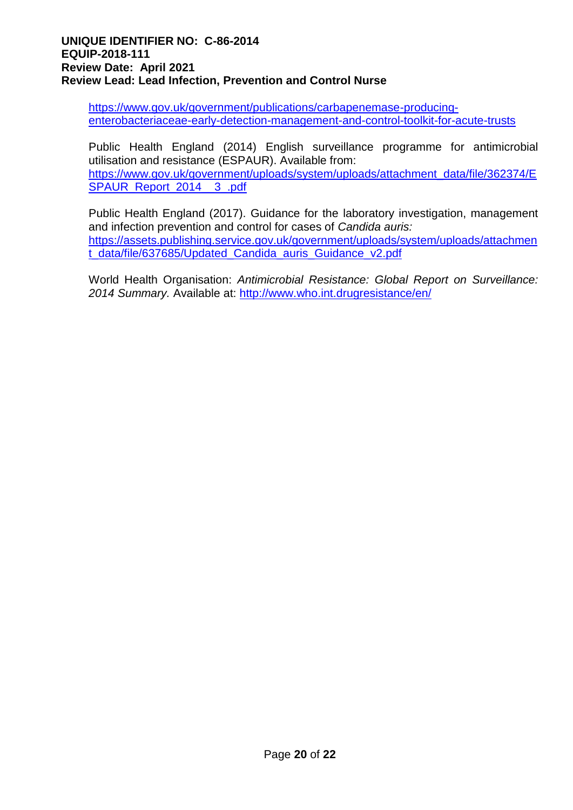[https://www.gov.uk/government/publications/carbapenemase-producing](https://www.gov.uk/government/publications/carbapenemase-producing-enterobacteriaceae-early-detection-management-and-control-toolkit-for-acute-trusts)[enterobacteriaceae-early-detection-management-and-control-toolkit-for-acute-trusts](https://www.gov.uk/government/publications/carbapenemase-producing-enterobacteriaceae-early-detection-management-and-control-toolkit-for-acute-trusts)

Public Health England (2014) English surveillance programme for antimicrobial utilisation and resistance (ESPAUR). Available from: [https://www.gov.uk/government/uploads/system/uploads/attachment\\_data/file/362374/E](https://www.gov.uk/government/uploads/system/uploads/attachment_data/file/362374/ESPAUR_Report_2014__3_.pdf) [SPAUR\\_Report\\_2014\\_\\_3\\_.pdf](https://www.gov.uk/government/uploads/system/uploads/attachment_data/file/362374/ESPAUR_Report_2014__3_.pdf)

Public Health England (2017). Guidance for the laboratory investigation, management and infection prevention and control for cases of *Candida auris:* [https://assets.publishing.service.gov.uk/government/uploads/system/uploads/attachmen](https://assets.publishing.service.gov.uk/government/uploads/system/uploads/attachment_data/file/637685/Updated_Candida_auris_Guidance_v2.pdf) [t\\_data/file/637685/Updated\\_Candida\\_auris\\_Guidance\\_v2.pdf](https://assets.publishing.service.gov.uk/government/uploads/system/uploads/attachment_data/file/637685/Updated_Candida_auris_Guidance_v2.pdf)

World Health Organisation: *Antimicrobial Resistance: Global Report on Surveillance: 2014 Summary.* Available at: <http://www.who.int.drugresistance/en/>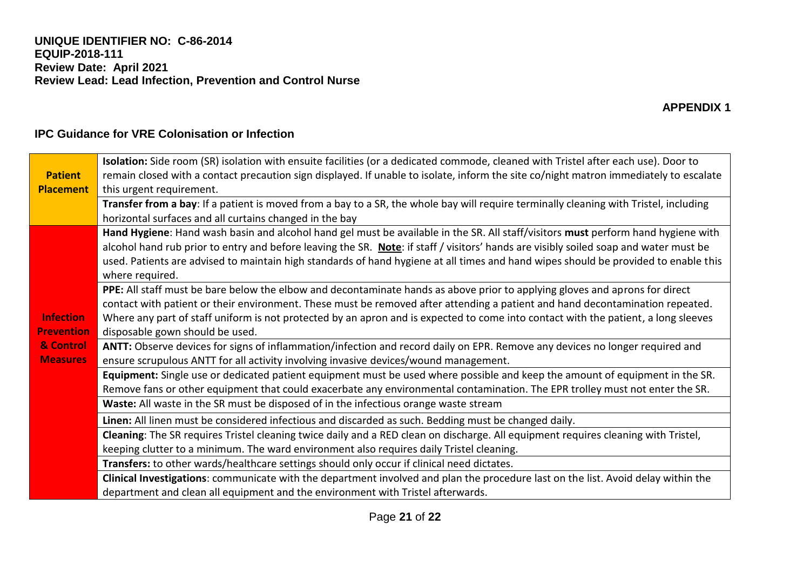|                   | Isolation: Side room (SR) isolation with ensuite facilities (or a dedicated commode, cleaned with Tristel after each use). Door to    |
|-------------------|---------------------------------------------------------------------------------------------------------------------------------------|
| <b>Patient</b>    | remain closed with a contact precaution sign displayed. If unable to isolate, inform the site co/night matron immediately to escalate |
| <b>Placement</b>  | this urgent requirement.                                                                                                              |
|                   | Transfer from a bay: If a patient is moved from a bay to a SR, the whole bay will require terminally cleaning with Tristel, including |
|                   | horizontal surfaces and all curtains changed in the bay                                                                               |
|                   | Hand Hygiene: Hand wash basin and alcohol hand gel must be available in the SR. All staff/visitors must perform hand hygiene with     |
|                   | alcohol hand rub prior to entry and before leaving the SR. Note: if staff / visitors' hands are visibly soiled soap and water must be |
|                   | used. Patients are advised to maintain high standards of hand hygiene at all times and hand wipes should be provided to enable this   |
|                   | where required.                                                                                                                       |
|                   | PPE: All staff must be bare below the elbow and decontaminate hands as above prior to applying gloves and aprons for direct           |
|                   | contact with patient or their environment. These must be removed after attending a patient and hand decontamination repeated.         |
| <b>Infection</b>  | Where any part of staff uniform is not protected by an apron and is expected to come into contact with the patient, a long sleeves    |
| <b>Prevention</b> | disposable gown should be used.                                                                                                       |
| & Control         | ANTT: Observe devices for signs of inflammation/infection and record daily on EPR. Remove any devices no longer required and          |
| <b>Measures</b>   | ensure scrupulous ANTT for all activity involving invasive devices/wound management.                                                  |
|                   | Equipment: Single use or dedicated patient equipment must be used where possible and keep the amount of equipment in the SR.          |
|                   | Remove fans or other equipment that could exacerbate any environmental contamination. The EPR trolley must not enter the SR.          |
|                   | Waste: All waste in the SR must be disposed of in the infectious orange waste stream                                                  |
|                   | Linen: All linen must be considered infectious and discarded as such. Bedding must be changed daily.                                  |
|                   | Cleaning: The SR requires Tristel cleaning twice daily and a RED clean on discharge. All equipment requires cleaning with Tristel,    |
|                   | keeping clutter to a minimum. The ward environment also requires daily Tristel cleaning.                                              |
|                   | Transfers: to other wards/healthcare settings should only occur if clinical need dictates.                                            |
|                   | Clinical Investigations: communicate with the department involved and plan the procedure last on the list. Avoid delay within the     |
|                   | department and clean all equipment and the environment with Tristel afterwards.                                                       |

# **IPC Guidance for VRE Colonisation or Infection**